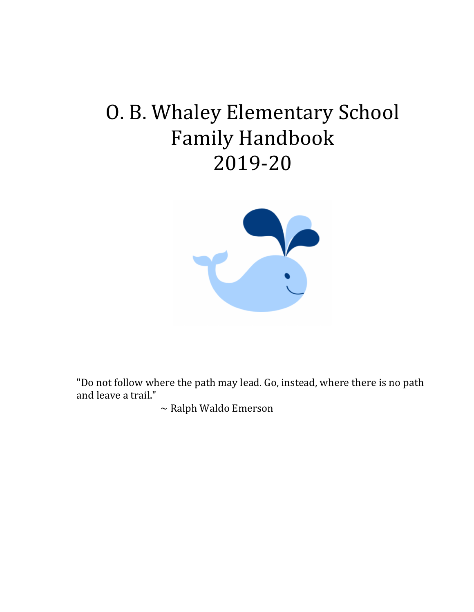# O. B. Whaley Elementary School Family Handbook 2019-20



"Do not follow where the path may lead. Go, instead, where there is no path and leave a trail."

 $\sim$  Ralph Waldo Emerson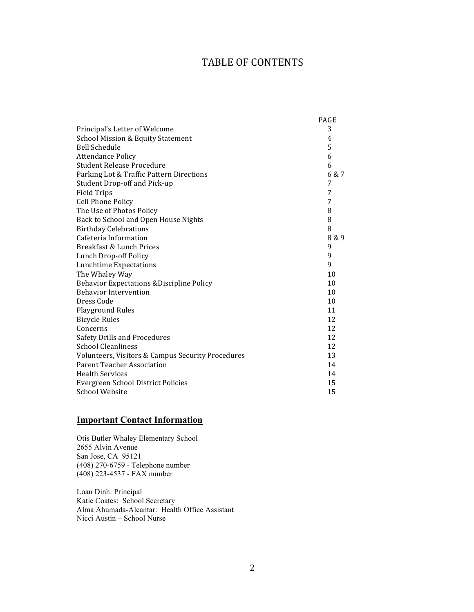#### TABLE OF CONTENTS

|                                                      | <b>PAGE</b> |
|------------------------------------------------------|-------------|
| Principal's Letter of Welcome                        | 3           |
| <b>School Mission &amp; Equity Statement</b>         | 4           |
| <b>Bell Schedule</b>                                 | 5           |
| <b>Attendance Policy</b>                             | 6           |
| <b>Student Release Procedure</b>                     | 6           |
| Parking Lot & Traffic Pattern Directions             | 6 & 7       |
| Student Drop-off and Pick-up                         | 7           |
| <b>Field Trips</b>                                   | 7           |
| <b>Cell Phone Policy</b>                             | 7           |
| The Use of Photos Policy                             | 8           |
| Back to School and Open House Nights                 | 8           |
| <b>Birthday Celebrations</b>                         | 8           |
| Cafeteria Information                                | 8 & 9       |
| Breakfast & Lunch Prices                             | 9           |
| Lunch Drop-off Policy                                | 9           |
| <b>Lunchtime Expectations</b>                        | 9           |
| The Whaley Way                                       | 10          |
| <b>Behavior Expectations &amp; Discipline Policy</b> | 10          |
| <b>Behavior Intervention</b>                         | 10          |
| Dress Code                                           | 10          |
| <b>Playground Rules</b>                              | 11          |
| <b>Bicycle Rules</b>                                 | 12          |
| Concerns                                             | 12          |
| Safety Drills and Procedures                         | 12          |
| <b>School Cleanliness</b>                            | 12          |
| Volunteers, Visitors & Campus Security Procedures    | 13          |
| <b>Parent Teacher Association</b>                    | 14          |
| <b>Health Services</b>                               | 14          |
| Evergreen School District Policies                   | 15          |
| <b>School Website</b>                                | 15          |

#### **Important Contact Information**

Otis Butler Whaley Elementary School 2655 Alvin Avenue San Jose, CA 95121 (408) 270-6759 - Telephone number (408) 223-4537 - FAX number

Loan Dinh: Principal Katie Coates: School Secretary Alma Ahumada-Alcantar: Health Office Assistant Nicci Austin – School Nurse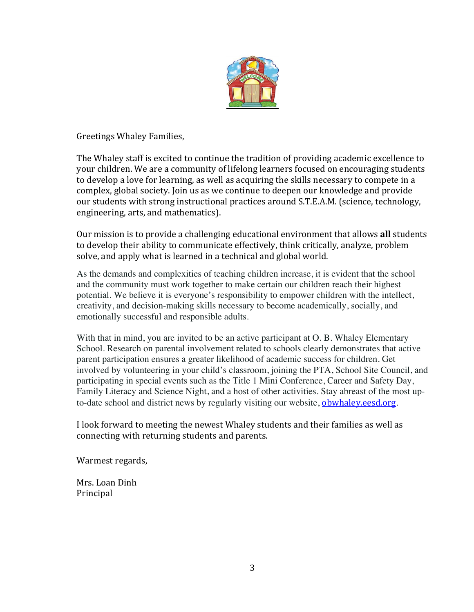

Greetings Whaley Families, 

The Whaley staff is excited to continue the tradition of providing academic excellence to your children. We are a community of lifelong learners focused on encouraging students to develop a love for learning, as well as acquiring the skills necessary to compete in a complex, global society. Join us as we continue to deepen our knowledge and provide our students with strong instructional practices around S.T.E.A.M. (science, technology, engineering, arts, and mathematics).

Our mission is to provide a challenging educational environment that allows all students to develop their ability to communicate effectively, think critically, analyze, problem solve, and apply what is learned in a technical and global world.

As the demands and complexities of teaching children increase, it is evident that the school and the community must work together to make certain our children reach their highest potential. We believe it is everyone's responsibility to empower children with the intellect, creativity, and decision-making skills necessary to become academically, socially, and emotionally successful and responsible adults.

With that in mind, you are invited to be an active participant at O. B. Whaley Elementary School. Research on parental involvement related to schools clearly demonstrates that active parent participation ensures a greater likelihood of academic success for children. Get involved by volunteering in your child's classroom, joining the PTA, School Site Council, and participating in special events such as the Title 1 Mini Conference, Career and Safety Day, Family Literacy and Science Night, and a host of other activities. Stay abreast of the most upto-date school and district news by regularly visiting our website, obwhaley.eesd.org.

I look forward to meeting the newest Whaley students and their families as well as connecting with returning students and parents.

Warmest regards,

Mrs. Loan Dinh Principal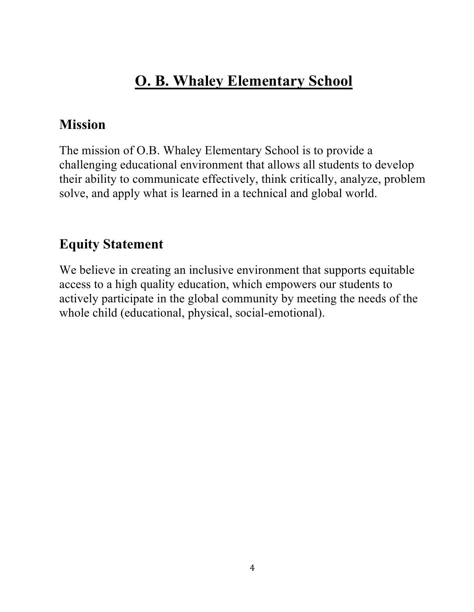# **O. B. Whaley Elementary School**

## **Mission**

The mission of O.B. Whaley Elementary School is to provide a challenging educational environment that allows all students to develop their ability to communicate effectively, think critically, analyze, problem solve, and apply what is learned in a technical and global world.

# **Equity Statement**

We believe in creating an inclusive environment that supports equitable access to a high quality education, which empowers our students to actively participate in the global community by meeting the needs of the whole child (educational, physical, social-emotional).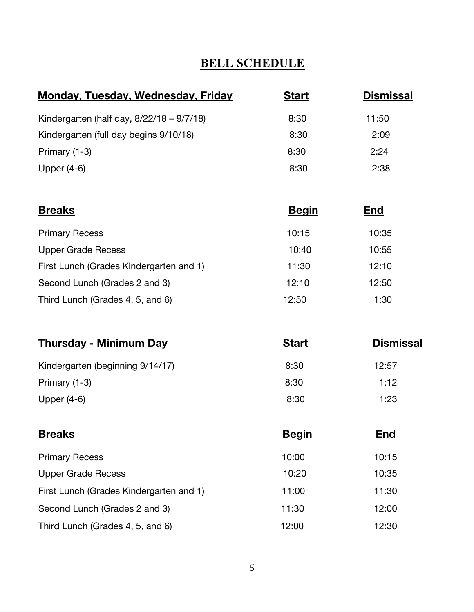### **BELL SCHEDULE**

| Monday, Tuesday, Wednesday, Friday           | <b>Start</b> | <b>Dismissal</b> |
|----------------------------------------------|--------------|------------------|
| Kindergarten (half day, $8/22/18 - 9/7/18$ ) | 8:30         | 11:50            |
| Kindergarten (full day begins 9/10/18)       | 8:30         | 2:09             |
| Primary (1-3)                                | 8:30         | 2:24             |
| Upper $(4-6)$                                | 8:30         | 2:38             |

| <b>Breaks</b>                           | <b>Begin</b> | <b>End</b> |
|-----------------------------------------|--------------|------------|
| <b>Primary Recess</b>                   | 10:15        | 10:35      |
| <b>Upper Grade Recess</b>               | 10:40        | 10:55      |
| First Lunch (Grades Kindergarten and 1) | 11:30        | 12:10      |
| Second Lunch (Grades 2 and 3)           | 12:10        | 12:50      |
| Third Lunch (Grades 4, 5, and 6)        | 12:50        | 1:30       |

| <b>Thursday - Minimum Day</b>    | <b>Start</b> | <b>Dismissal</b> |
|----------------------------------|--------------|------------------|
| Kindergarten (beginning 9/14/17) | 8:30         | 12:57            |
| Primary (1-3)                    | 8:30         | 1:12             |
| Upper $(4-6)$                    | 8:30         | 1:23             |

| <b>Breaks</b>                           | <b>Begin</b> | <b>End</b> |
|-----------------------------------------|--------------|------------|
| <b>Primary Recess</b>                   | 10:00        | 10:15      |
| <b>Upper Grade Recess</b>               | 10:20        | 10:35      |
| First Lunch (Grades Kindergarten and 1) | 11:00        | 11:30      |
| Second Lunch (Grades 2 and 3)           | 11:30        | 12:00      |
| Third Lunch (Grades 4, 5, and 6)        | 12:00        | 12:30      |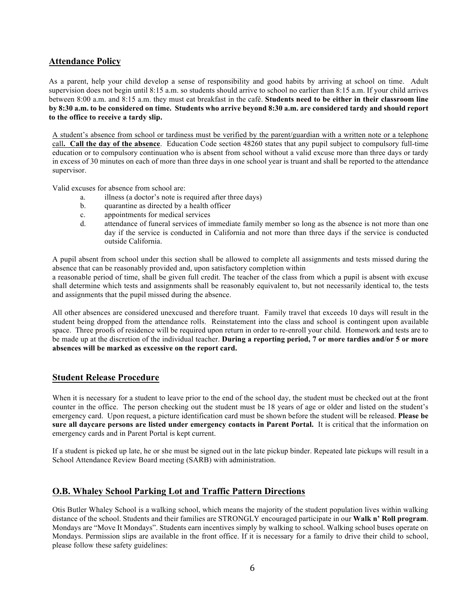#### **Attendance Policy**

As a parent, help your child develop a sense of responsibility and good habits by arriving at school on time. Adult supervision does not begin until 8:15 a.m. so students should arrive to school no earlier than 8:15 a.m. If your child arrives between 8:00 a.m. and 8:15 a.m. they must eat breakfast in the café. **Students need to be either in their classroom line by 8:30 a.m. to be considered on time. Students who arrive beyond 8:30 a.m. are considered tardy and should report to the office to receive a tardy slip.** 

A student's absence from school or tardiness must be verified by the parent/guardian with a written note or a telephone call**. Call the day of the absence**. Education Code section 48260 states that any pupil subject to compulsory full-time education or to compulsory continuation who is absent from school without a valid excuse more than three days or tardy in excess of 30 minutes on each of more than three days in one school year is truant and shall be reported to the attendance supervisor.

Valid excuses for absence from school are:

- a. illness (a doctor's note is required after three days)
- b. quarantine as directed by a health officer
- c. appointments for medical services
- d. attendance of funeral services of immediate family member so long as the absence is not more than one day if the service is conducted in California and not more than three days if the service is conducted outside California.

A pupil absent from school under this section shall be allowed to complete all assignments and tests missed during the absence that can be reasonably provided and, upon satisfactory completion within

a reasonable period of time, shall be given full credit. The teacher of the class from which a pupil is absent with excuse shall determine which tests and assignments shall be reasonably equivalent to, but not necessarily identical to, the tests and assignments that the pupil missed during the absence.

All other absences are considered unexcused and therefore truant. Family travel that exceeds 10 days will result in the student being dropped from the attendance rolls. Reinstatement into the class and school is contingent upon available space. Three proofs of residence will be required upon return in order to re-enroll your child. Homework and tests are to be made up at the discretion of the individual teacher. **During a reporting period, 7 or more tardies and/or 5 or more absences will be marked as excessive on the report card.**

#### **Student Release Procedure**

When it is necessary for a student to leave prior to the end of the school day, the student must be checked out at the front counter in the office. The person checking out the student must be 18 years of age or older and listed on the student's emergency card. Upon request, a picture identification card must be shown before the student will be released. **Please be sure all daycare persons are listed under emergency contacts in Parent Portal.** It is critical that the information on emergency cards and in Parent Portal is kept current.

If a student is picked up late, he or she must be signed out in the late pickup binder. Repeated late pickups will result in a School Attendance Review Board meeting (SARB) with administration.

#### **O.B. Whaley School Parking Lot and Traffic Pattern Directions**

Otis Butler Whaley School is a walking school, which means the majority of the student population lives within walking distance of the school. Students and their families are STRONGLY encouraged participate in our **Walk n' Roll program**. Mondays are "Move It Mondays". Students earn incentives simply by walking to school. Walking school buses operate on Mondays. Permission slips are available in the front office. If it is necessary for a family to drive their child to school, please follow these safety guidelines: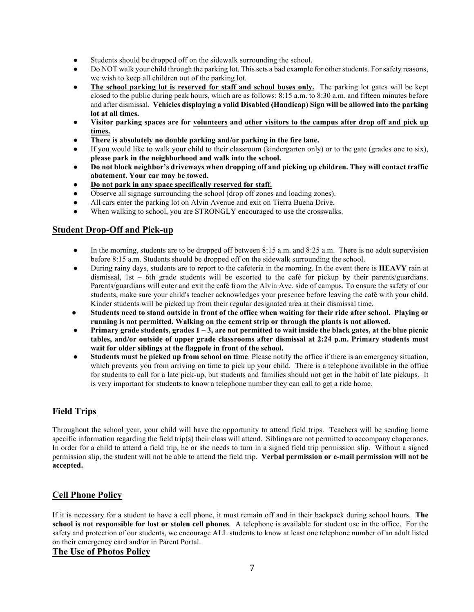- Students should be dropped off on the sidewalk surrounding the school.
- Do NOT walk your child through the parking lot. This sets a bad example for other students. For safety reasons, we wish to keep all children out of the parking lot.
- The school parking lot is reserved for staff and school buses only. The parking lot gates will be kept closed to the public during peak hours, which are as follows: 8:15 a.m. to 8:30 a.m. and fifteen minutes before and after dismissal. **Vehicles displaying a valid Disabled (Handicap) Sign will be allowed into the parking lot at all times.**
- **Visitor parking spaces are for volunteers and other visitors to the campus after drop off and pick up times.**
- There is absolutely no double parking and/or parking in the fire lane.
- If you would like to walk your child to their classroom (kindergarten only) or to the gate (grades one to six), **please park in the neighborhood and walk into the school.**
- **Do not block neighbor's driveways when dropping off and picking up children. They will contact traffic abatement. Your car may be towed.**
- **Do not park in any space specifically reserved for staff.**
- Observe all signage surrounding the school (drop off zones and loading zones).
- All cars enter the parking lot on Alvin Avenue and exit on Tierra Buena Drive.
- When walking to school, you are STRONGLY encouraged to use the crosswalks.

#### **Student Drop-Off and Pick-up**

- In the morning, students are to be dropped off between 8:15 a.m. and 8:25 a.m. There is no adult supervision before 8:15 a.m. Students should be dropped off on the sidewalk surrounding the school.
- During rainy days, students are to report to the cafeteria in the morning. In the event there is **HEAVY** rain at dismissal, 1st – 6th grade students will be escorted to the café for pickup by their parents/guardians. Parents/guardians will enter and exit the café from the Alvin Ave. side of campus. To ensure the safety of our students, make sure your child's teacher acknowledges your presence before leaving the café with your child. Kinder students will be picked up from their regular designated area at their dismissal time.
- Students need to stand outside in front of the office when waiting for their ride after school. Playing or **running is not permitted. Walking on the cement strip or through the plants is not allowed.**
- **Primary grade students, grades 1 – 3, are not permitted to wait inside the black gates, at the blue picnic tables, and/or outside of upper grade classrooms after dismissal at 2:24 p.m. Primary students must wait for older siblings at the flagpole in front of the school.**
- **Students must be picked up from school on time**. Please notify the office if there is an emergency situation, which prevents you from arriving on time to pick up your child. There is a telephone available in the office for students to call for a late pick-up, but students and families should not get in the habit of late pickups. It is very important for students to know a telephone number they can call to get a ride home.

#### **Field Trips**

Throughout the school year, your child will have the opportunity to attend field trips. Teachers will be sending home specific information regarding the field trip(s) their class will attend. Siblings are not permitted to accompany chaperones. In order for a child to attend a field trip, he or she needs to turn in a signed field trip permission slip. Without a signed permission slip, the student will not be able to attend the field trip. **Verbal permission or e-mail permission will not be accepted.**

#### **Cell Phone Policy**

If it is necessary for a student to have a cell phone, it must remain off and in their backpack during school hours. **The school is not responsible for lost or stolen cell phones**. A telephone is available for student use in the office. For the safety and protection of our students, we encourage ALL students to know at least one telephone number of an adult listed on their emergency card and/or in Parent Portal.

#### **The Use of Photos Policy**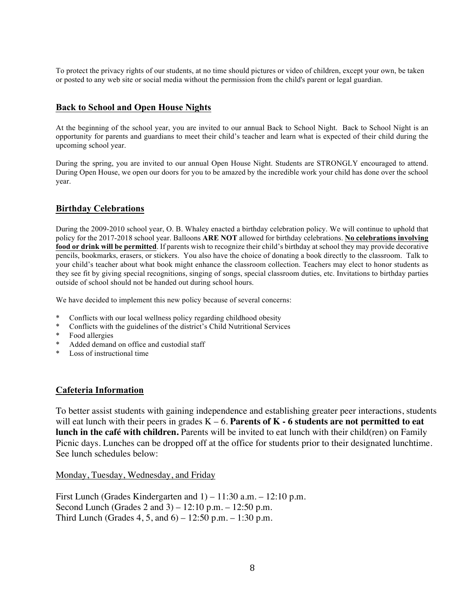To protect the privacy rights of our students, at no time should pictures or video of children, except your own, be taken or posted to any web site or social media without the permission from the child's parent or legal guardian.

#### **Back to School and Open House Nights**

At the beginning of the school year, you are invited to our annual Back to School Night. Back to School Night is an opportunity for parents and guardians to meet their child's teacher and learn what is expected of their child during the upcoming school year.

During the spring, you are invited to our annual Open House Night. Students are STRONGLY encouraged to attend. During Open House, we open our doors for you to be amazed by the incredible work your child has done over the school year.

#### **Birthday Celebrations**

During the 2009-2010 school year, O. B. Whaley enacted a birthday celebration policy. We will continue to uphold that policy for the 2017-2018 school year. Balloons **ARE NOT** allowed for birthday celebrations. **No celebrations involving food or drink will be permitted**. If parents wish to recognize their child's birthday at school they may provide decorative pencils, bookmarks, erasers, or stickers. You also have the choice of donating a book directly to the classroom. Talk to your child's teacher about what book might enhance the classroom collection. Teachers may elect to honor students as they see fit by giving special recognitions, singing of songs, special classroom duties, etc. Invitations to birthday parties outside of school should not be handed out during school hours.

We have decided to implement this new policy because of several concerns:

- Conflicts with our local wellness policy regarding childhood obesity
- \* Conflicts with the guidelines of the district's Child Nutritional Services
- \* Food allergies
- \* Added demand on office and custodial staff
- \* Loss of instructional time

#### **Cafeteria Information**

To better assist students with gaining independence and establishing greater peer interactions, students will eat lunch with their peers in grades K – 6. **Parents of K - 6 students are not permitted to eat lunch in the café with children.** Parents will be invited to eat lunch with their child(ren) on Family Picnic days. Lunches can be dropped off at the office for students prior to their designated lunchtime. See lunch schedules below:

Monday, Tuesday, Wednesday, and Friday

First Lunch (Grades Kindergarten and 1) – 11:30 a.m. – 12:10 p.m. Second Lunch (Grades 2 and 3) – 12:10 p.m. – 12:50 p.m. Third Lunch (Grades  $4, 5$ , and  $6$ ) – 12:50 p.m. – 1:30 p.m.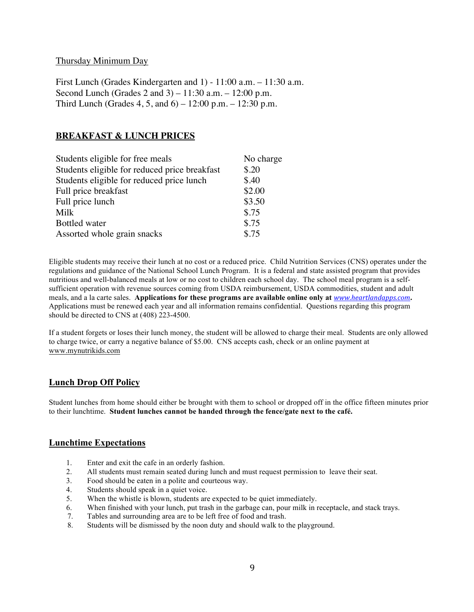#### Thursday Minimum Day

First Lunch (Grades Kindergarten and 1) - 11:00 a.m. – 11:30 a.m. Second Lunch (Grades 2 and 3) – 11:30 a.m. – 12:00 p.m. Third Lunch (Grades 4, 5, and 6) – 12:00 p.m. – 12:30 p.m.

#### **BREAKFAST & LUNCH PRICES**

| Students eligible for free meals              | No charge |
|-----------------------------------------------|-----------|
| Students eligible for reduced price breakfast | \$.20     |
| Students eligible for reduced price lunch     | \$.40     |
| Full price breakfast                          | \$2.00    |
| Full price lunch                              | \$3.50    |
| Milk                                          | \$.75     |
| <b>Bottled</b> water                          | \$.75     |
| Assorted whole grain snacks                   | \$.75     |

Eligible students may receive their lunch at no cost or a reduced price. Child Nutrition Services (CNS) operates under the regulations and guidance of the National School Lunch Program. It is a federal and state assisted program that provides nutritious and well-balanced meals at low or no cost to children each school day. The school meal program is a selfsufficient operation with revenue sources coming from USDA reimbursement, USDA commodities, student and adult meals, and a la carte sales. **Applications for these programs are available online only at** *www.heartlandapps.com***.**  Applications must be renewed each year and all information remains confidential. Questions regarding this program should be directed to CNS at (408) 223-4500.

If a student forgets or loses their lunch money, the student will be allowed to charge their meal. Students are only allowed to charge twice, or carry a negative balance of \$5.00. CNS accepts cash, check or an online payment at www.mynutrikids.com

#### **Lunch Drop Off Policy**

Student lunches from home should either be brought with them to school or dropped off in the office fifteen minutes prior to their lunchtime. **Student lunches cannot be handed through the fence/gate next to the café.**

#### **Lunchtime Expectations**

- 1. Enter and exit the cafe in an orderly fashion.
- 2. All students must remain seated during lunch and must request permission to leave their seat.
- 3. Food should be eaten in a polite and courteous way.
- 4. Students should speak in a quiet voice.
- 5. When the whistle is blown, students are expected to be quiet immediately.
- 6. When finished with your lunch, put trash in the garbage can, pour milk in receptacle, and stack trays.
- 7. Tables and surrounding area are to be left free of food and trash.
- 8. Students will be dismissed by the noon duty and should walk to the playground.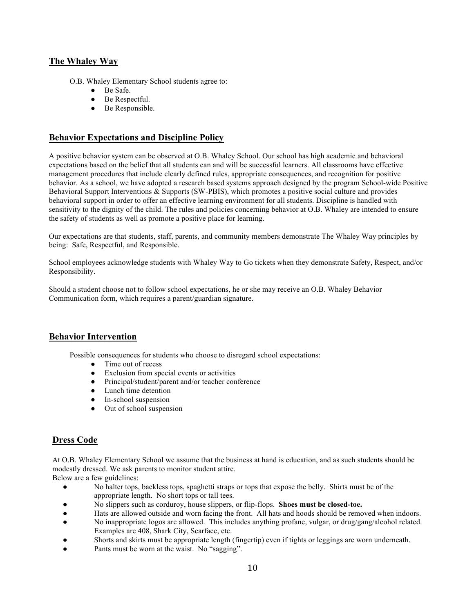#### **The Whaley Way**

- O.B. Whaley Elementary School students agree to:
	- Be Safe.
	- Be Respectful.
	- Be Responsible.

#### **Behavior Expectations and Discipline Policy**

A positive behavior system can be observed at O.B. Whaley School. Our school has high academic and behavioral expectations based on the belief that all students can and will be successful learners. All classrooms have effective management procedures that include clearly defined rules, appropriate consequences, and recognition for positive behavior. As a school, we have adopted a research based systems approach designed by the program School-wide Positive Behavioral Support Interventions & Supports (SW-PBIS), which promotes a positive social culture and provides behavioral support in order to offer an effective learning environment for all students. Discipline is handled with sensitivity to the dignity of the child. The rules and policies concerning behavior at O.B. Whaley are intended to ensure the safety of students as well as promote a positive place for learning.

Our expectations are that students, staff, parents, and community members demonstrate The Whaley Way principles by being: Safe, Respectful, and Responsible.

School employees acknowledge students with Whaley Way to Go tickets when they demonstrate Safety, Respect, and/or Responsibility.

Should a student choose not to follow school expectations, he or she may receive an O.B. Whaley Behavior Communication form, which requires a parent/guardian signature.

#### **Behavior Intervention**

Possible consequences for students who choose to disregard school expectations:

- Time out of recess
- Exclusion from special events or activities
- Principal/student/parent and/or teacher conference
- Lunch time detention
- In-school suspension
- Out of school suspension

#### **Dress Code**

At O.B. Whaley Elementary School we assume that the business at hand is education, and as such students should be modestly dressed. We ask parents to monitor student attire.

Below are a few guidelines:

- No halter tops, backless tops, spaghetti straps or tops that expose the belly. Shirts must be of the appropriate length. No short tops or tall tees.
- No slippers such as corduroy, house slippers, or flip-flops. **Shoes must be closed-toe.**
- Hats are allowed outside and worn facing the front. All hats and hoods should be removed when indoors.
- No inappropriate logos are allowed. This includes anything profane, vulgar, or drug/gang/alcohol related. Examples are 408, Shark City, Scarface, etc.
- Shorts and skirts must be appropriate length (fingertip) even if tights or leggings are worn underneath.
- Pants must be worn at the waist. No "sagging".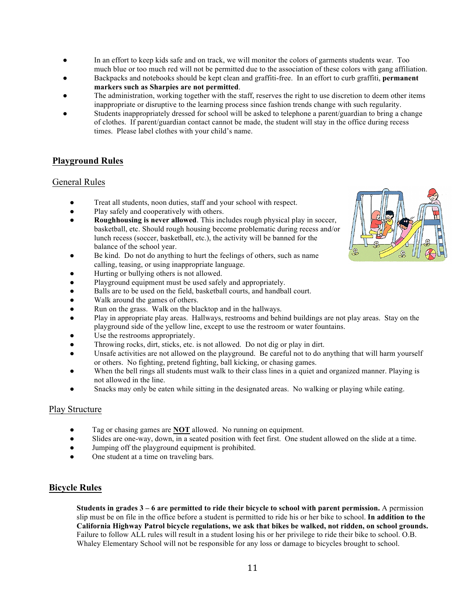- In an effort to keep kids safe and on track, we will monitor the colors of garments students wear. Too much blue or too much red will not be permitted due to the association of these colors with gang affiliation.
- Backpacks and notebooks should be kept clean and graffiti-free. In an effort to curb graffiti, **permanent markers such as Sharpies are not permitted**.
- The administration, working together with the staff, reserves the right to use discretion to deem other items inappropriate or disruptive to the learning process since fashion trends change with such regularity.
- Students inappropriately dressed for school will be asked to telephone a parent/guardian to bring a change of clothes. If parent/guardian contact cannot be made, the student will stay in the office during recess times. Please label clothes with your child's name.

#### **Playground Rules**

#### General Rules

- Treat all students, noon duties, staff and your school with respect.
- Play safely and cooperatively with others.
- **Roughhousing is never allowed**. This includes rough physical play in soccer, basketball, etc. Should rough housing become problematic during recess and/or lunch recess (soccer, basketball, etc.), the activity will be banned for the balance of the school year.
- Be kind. Do not do anything to hurt the feelings of others, such as name calling, teasing, or using inappropriate language.
- Hurting or bullying others is not allowed.
- Playground equipment must be used safely and appropriately.
- Balls are to be used on the field, basketball courts, and handball court.
- Walk around the games of others.
- Run on the grass. Walk on the blacktop and in the hallways.
- Play in appropriate play areas. Hallways, restrooms and behind buildings are not play areas. Stay on the playground side of the yellow line, except to use the restroom or water fountains.
- Use the restrooms appropriately.
- Throwing rocks, dirt, sticks, etc. is not allowed. Do not dig or play in dirt.
- Unsafe activities are not allowed on the playground. Be careful not to do anything that will harm yourself or others. No fighting, pretend fighting, ball kicking, or chasing games.
- When the bell rings all students must walk to their class lines in a quiet and organized manner. Playing is not allowed in the line.
- Snacks may only be eaten while sitting in the designated areas. No walking or playing while eating.

#### Play Structure

- Tag or chasing games are **NOT** allowed. No running on equipment.
- Slides are one-way, down, in a seated position with feet first. One student allowed on the slide at a time.
- Jumping off the playground equipment is prohibited.
- One student at a time on traveling bars.

#### **Bicycle Rules**

**Students in grades 3 – 6 are permitted to ride their bicycle to school with parent permission.** A permission slip must be on file in the office before a student is permitted to ride his or her bike to school. **In addition to the California Highway Patrol bicycle regulations, we ask that bikes be walked, not ridden, on school grounds.** Failure to follow ALL rules will result in a student losing his or her privilege to ride their bike to school. O.B. Whaley Elementary School will not be responsible for any loss or damage to bicycles brought to school.

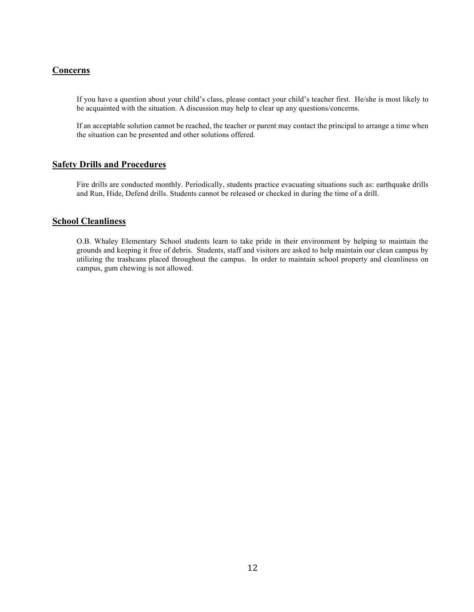#### **Concerns**

If you have a question about your child's class, please contact your child's teacher first. He/she is most likely to be acquainted with the situation. A discussion may help to clear up any questions/concerns.

If an acceptable solution cannot be reached, the teacher or parent may contact the principal to arrange a time when the situation can be presented and other solutions offered.

#### **Safety Drills and Procedures**

Fire drills are conducted monthly. Periodically, students practice evacuating situations such as: earthquake drills and Run, Hide, Defend drills. Students cannot be released or checked in during the time of a drill.

#### **School Cleanliness**

O.B. Whaley Elementary School students learn to take pride in their environment by helping to maintain the grounds and keeping it free of debris. Students, staff and visitors are asked to help maintain our clean campus by utilizing the trashcans placed throughout the campus. In order to maintain school property and cleanliness on campus, gum chewing is not allowed.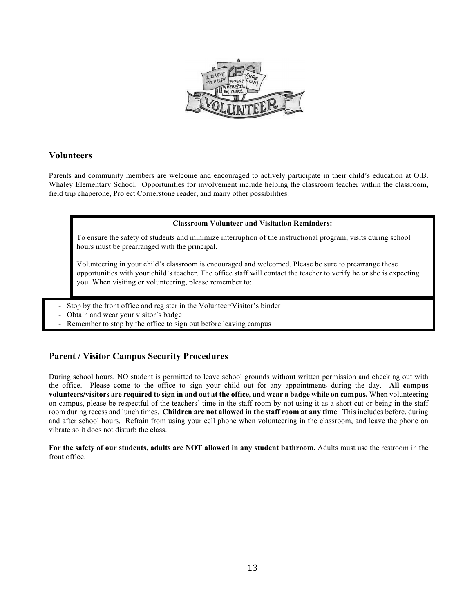

#### **Volunteers**

Parents and community members are welcome and encouraged to actively participate in their child's education at O.B. Whaley Elementary School. Opportunities for involvement include helping the classroom teacher within the classroom, field trip chaperone, Project Cornerstone reader, and many other possibilities.

#### **Classroom Volunteer and Visitation Reminders:**

To ensure the safety of students and minimize interruption of the instructional program, visits during school hours must be prearranged with the principal.

Volunteering in your child's classroom is encouraged and welcomed. Please be sure to prearrange these opportunities with your child's teacher. The office staff will contact the teacher to verify he or she is expecting you. When visiting or volunteering, please remember to:

- Stop by the front office and register in the Volunteer/Visitor's binder
- Obtain and wear your visitor's badge
- Remember to stop by the office to sign out before leaving campus

#### **Parent / Visitor Campus Security Procedures**

During school hours, NO student is permitted to leave school grounds without written permission and checking out with the office. Please come to the office to sign your child out for any appointments during the day. **All campus volunteers/visitors are required to sign in and out at the office, and wear a badge while on campus.** When volunteering on campus, please be respectful of the teachers' time in the staff room by not using it as a short cut or being in the staff room during recess and lunch times. **Children are not allowed in the staff room at any time**. This includes before, during and after school hours. Refrain from using your cell phone when volunteering in the classroom, and leave the phone on vibrate so it does not disturb the class.

**For the safety of our students, adults are NOT allowed in any student bathroom.** Adults must use the restroom in the front office.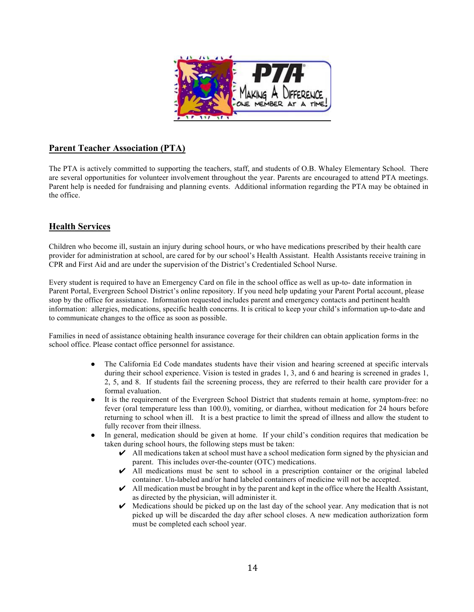

#### **Parent Teacher Association (PTA)**

The PTA is actively committed to supporting the teachers, staff, and students of O.B. Whaley Elementary School. There are several opportunities for volunteer involvement throughout the year. Parents are encouraged to attend PTA meetings. Parent help is needed for fundraising and planning events. Additional information regarding the PTA may be obtained in the office.

#### **Health Services**

Children who become ill, sustain an injury during school hours, or who have medications prescribed by their health care provider for administration at school, are cared for by our school's Health Assistant. Health Assistants receive training in CPR and First Aid and are under the supervision of the District's Credentialed School Nurse.

Every student is required to have an Emergency Card on file in the school office as well as up-to- date information in Parent Portal, Evergreen School District's online repository. If you need help updating your Parent Portal account, please stop by the office for assistance. Information requested includes parent and emergency contacts and pertinent health information: allergies, medications, specific health concerns. It is critical to keep your child's information up-to-date and to communicate changes to the office as soon as possible.

Families in need of assistance obtaining health insurance coverage for their children can obtain application forms in the school office. Please contact office personnel for assistance.

- The California Ed Code mandates students have their vision and hearing screened at specific intervals during their school experience. Vision is tested in grades 1, 3, and 6 and hearing is screened in grades 1, 2, 5, and 8. If students fail the screening process, they are referred to their health care provider for a formal evaluation.
- It is the requirement of the Evergreen School District that students remain at home, symptom-free: no fever (oral temperature less than 100.0), vomiting, or diarrhea, without medication for 24 hours before returning to school when ill. It is a best practice to limit the spread of illness and allow the student to fully recover from their illness.
- In general, medication should be given at home. If your child's condition requires that medication be taken during school hours, the following steps must be taken:
	- $\vee$  All medications taken at school must have a school medication form signed by the physician and parent. This includes over-the-counter (OTC) medications.
	- $\vee$  All medications must be sent to school in a prescription container or the original labeled container. Un-labeled and/or hand labeled containers of medicine will not be accepted.
	- $\blacktriangleright$  All medication must be brought in by the parent and kept in the office where the Health Assistant, as directed by the physician, will administer it.
	- $\vee$  Medications should be picked up on the last day of the school year. Any medication that is not picked up will be discarded the day after school closes. A new medication authorization form must be completed each school year.